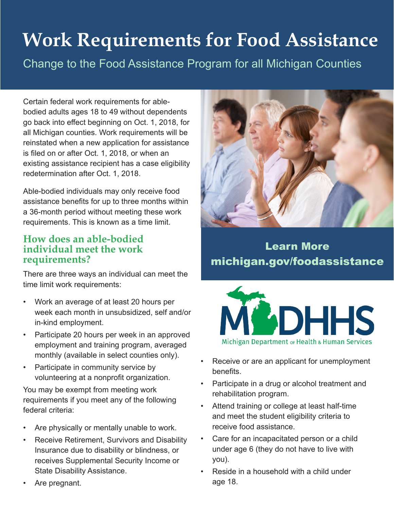# **Work Requirements for Food Assistance**

Change to the Food Assistance Program for all Michigan Counties

Certain federal work requirements for ablebodied adults ages 18 to 49 without dependents go back into effect beginning on Oct. 1, 2018, for all Michigan counties. Work requirements will be reinstated when a new application for assistance is filed on or after Oct. 1, 2018, or when an existing assistance recipient has a case eligibility redetermination after Oct. 1, 2018.

Able-bodied individuals may only receive food assistance benefits for up to three months within a 36-month period without meeting these work requirements. This is known as a time limit.

#### **How does an able-bodied individual meet the work requirements?**

There are three ways an individual can meet the time limit work requirements:

- Work an average of at least 20 hours per week each month in unsubsidized, self and/or in-kind employment.
- Participate 20 hours per week in an approved employment and training program, averaged monthly (available in select counties only).
- Participate in community service by volunteering at a nonprofit organization.

You may be exempt from meeting work requirements if you meet any of the following federal criteria:

- Are physically or mentally unable to work.
- Receive Retirement, Survivors and Disability Insurance due to disability or blindness, or receives Supplemental Security Income or State Disability Assistance.
- Are pregnant.



# Learn More michigan.gov/foodassistance



- Receive or are an applicant for unemployment benefits.
- Participate in a drug or alcohol treatment and rehabilitation program.
- Attend training or college at least half-time and meet the student eligibility criteria to receive food assistance.
- Care for an incapacitated person or a child under age 6 (they do not have to live with you).
- Reside in a household with a child under age 18.